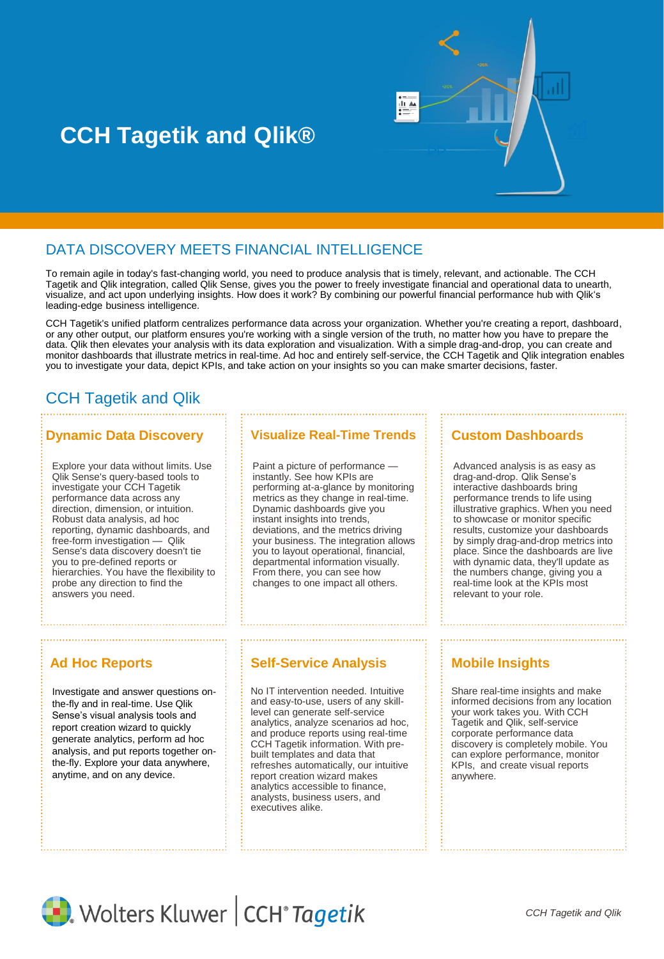

# **CCH Tagetik and Qlik®**

## DATA DISCOVERY MEETS FINANCIAL INTELLIGENCE

To remain agile in today's fast-changing world, you need to produce analysis that is timely, relevant, and actionable. The CCH Tagetik and Qlik integration, called Qlik Sense, gives you the power to freely investigate financial and operational data to unearth, visualize, and act upon underlying insights. How does it work? By combining our powerful financial performance hub with Qlik's leading-edge business intelligence.

CCH Tagetik's unified platform centralizes performance data across your organization. Whether you're creating a report, dashboard, or any other output, our platform ensures you're working with a single version of the truth, no matter how you have to prepare the data. Qlik then elevates your analysis with its data exploration and visualization. With a simple drag-and-drop, you can create and monitor dashboards that illustrate metrics in real-time. Ad hoc and entirely self-service, the CCH Tagetik and Qlik integration enables you to investigate your data, depict KPIs, and take action on your insights so you can make smarter decisions, faster.

## CCH Tagetik and Qlik

Explore your data without limits. Use Qlik Sense's query-based tools to investigate your CCH Tagetik performance data across any direction, dimension, or intuition. Robust data analysis, ad hoc reporting, dynamic dashboards, and free-form investigation — Qlik Sense's data discovery doesn't tie you to pre-defined reports or hierarchies. You have the flexibility to probe any direction to find the answers you need.

Investigate and answer questions onthe-fly and in real-time. Use Qlik Sense's visual analysis tools and report creation wizard to quickly generate analytics, perform ad hoc analysis, and put reports together onthe-fly. Explore your data anywhere, anytime, and on any device.

## **Dynamic Data Discovery | | | | Visualize Real-Time Trends**

Paint a picture of performance instantly. See how KPIs are performing at-a-glance by monitoring metrics as they change in real-time. Dynamic dashboards give you instant insights into trends, deviations, and the metrics driving your business. The integration allows you to layout operational, financial, departmental information visually. From there, you can see how changes to one impact all others.

## Ad Hoc Reports **Self-Service Analysis Mobile Insights**

No IT intervention needed. Intuitive and easy-to-use, users of any skilllevel can generate self-service analytics, analyze scenarios ad hoc, and produce reports using real-time CCH Tagetik information. With prebuilt templates and data that refreshes automatically, our intuitive report creation wizard makes analytics accessible to finance, analysts, business users, and executives alike.

relevant to your role.

**Custom Dashboards**

Advanced analysis is as easy as drag-and-drop. Qlik Sense's interactive dashboards bring performance trends to life using illustrative graphics. When you need to showcase or monitor specific results, customize your dashboards by simply drag-and-drop metrics into place. Since the dashboards are live with dynamic data, they'll update as the numbers change, giving you a real-time look at the KPIs most

Share real-time insights and make informed decisions from any location your work takes you. With CCH Tagetik and Qlik, self-service corporate performance data discovery is completely mobile. You can explore performance, monitor KPIs, and create visual reports anywhere.